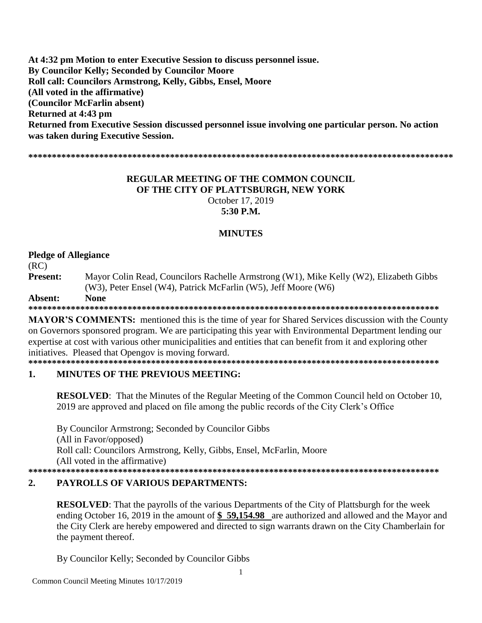At 4:32 pm Motion to enter Executive Session to discuss personnel issue. **By Councilor Kelly: Seconded by Councilor Moore** Roll call: Councilors Armstrong, Kelly, Gibbs, Ensel, Moore (All voted in the affirmative) (Councilor McFarlin absent) Returned at 4:43 pm Returned from Executive Session discussed personnel issue involving one particular person. No action was taken during Executive Session.

### **REGULAR MEETING OF THE COMMON COUNCIL** OF THE CITY OF PLATTSBURGH, NEW YORK October 17, 2019 5:30 P.M.

### **MINUTES**

### **Pledge of Allegiance**

 $(RC)$ 

Present: Mayor Colin Read, Councilors Rachelle Armstrong (W1), Mike Kelly (W2), Elizabeth Gibbs (W3), Peter Ensel (W4), Patrick McFarlin (W5), Jeff Moore (W6)

#### **None** Absent:

**MAYOR'S COMMENTS:** mentioned this is the time of year for Shared Services discussion with the County on Governors sponsored program. We are participating this year with Environmental Department lending our expertise at cost with various other municipalities and entities that can benefit from it and exploring other initiatives. Pleased that Opengov is moving forward.

#### $\mathbf{1}$ . **MINUTES OF THE PREVIOUS MEETING:**

**RESOLVED:** That the Minutes of the Regular Meeting of the Common Council held on October 10, 2019 are approved and placed on file among the public records of the City Clerk's Office

By Councilor Armstrong; Seconded by Councilor Gibbs (All in Favor/opposed) Roll call: Councilors Armstrong, Kelly, Gibbs, Ensel, McFarlin, Moore (All voted in the affirmative) 

#### $2.$ PAYROLLS OF VARIOUS DEPARTMENTS:

**RESOLVED:** That the payrolls of the various Departments of the City of Plattsburgh for the week ending October 16, 2019 in the amount of \$59,154.98 are authorized and allowed and the Mayor and the City Clerk are hereby empowered and directed to sign warrants drawn on the City Chamberlain for the payment thereof.

By Councilor Kelly; Seconded by Councilor Gibbs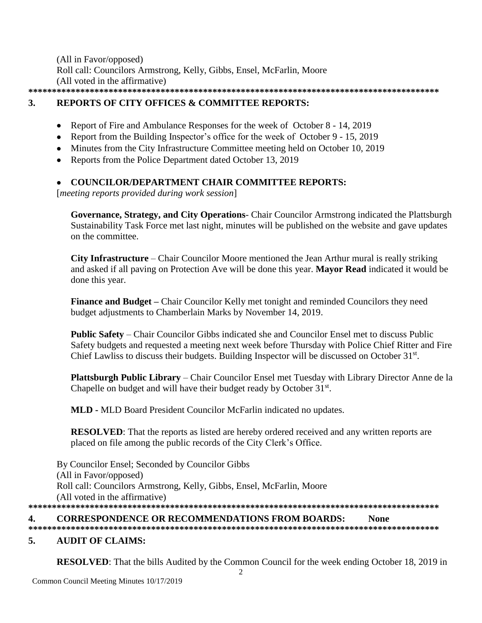(All in Favor/opposed) Roll call: Councilors Armstrong, Kelly, Gibbs, Ensel, McFarlin, Moore (All voted in the affirmative) **\*\*\*\*\*\*\*\*\*\*\*\*\*\*\*\*\*\*\*\*\*\*\*\*\*\*\*\*\*\*\*\*\*\*\*\*\*\*\*\*\*\*\*\*\*\*\*\*\*\*\*\*\*\*\*\*\*\*\*\*\*\*\*\*\*\*\*\*\*\*\*\*\*\*\*\*\*\*\*\*\*\*\*\*\*\*\***

### **3. REPORTS OF CITY OFFICES & COMMITTEE REPORTS:**

- Report of Fire and Ambulance Responses for the week of October 8 14, 2019
- Report from the Building Inspector's office for the week of October 9 15, 2019
- Minutes from the City Infrastructure Committee meeting held on October 10, 2019
- Reports from the Police Department dated October 13, 2019

### **COUNCILOR/DEPARTMENT CHAIR COMMITTEE REPORTS:**

[*meeting reports provided during work session*]

**Governance, Strategy, and City Operations**- Chair Councilor Armstrong indicated the Plattsburgh Sustainability Task Force met last night, minutes will be published on the website and gave updates on the committee.

**City Infrastructure** – Chair Councilor Moore mentioned the Jean Arthur mural is really striking and asked if all paving on Protection Ave will be done this year. **Mayor Read** indicated it would be done this year.

**Finance and Budget –** Chair Councilor Kelly met tonight and reminded Councilors they need budget adjustments to Chamberlain Marks by November 14, 2019.

**Public Safety** – Chair Councilor Gibbs indicated she and Councilor Ensel met to discuss Public Safety budgets and requested a meeting next week before Thursday with Police Chief Ritter and Fire Chief Lawliss to discuss their budgets. Building Inspector will be discussed on October 31st.

**Plattsburgh Public Library** – Chair Councilor Ensel met Tuesday with Library Director Anne de la Chapelle on budget and will have their budget ready by October 31st.

**MLD -** MLD Board President Councilor McFarlin indicated no updates.

**RESOLVED**: That the reports as listed are hereby ordered received and any written reports are placed on file among the public records of the City Clerk's Office.

By Councilor Ensel; Seconded by Councilor Gibbs (All in Favor/opposed) Roll call: Councilors Armstrong, Kelly, Gibbs, Ensel, McFarlin, Moore (All voted in the affirmative) **\*\*\*\*\*\*\*\*\*\*\*\*\*\*\*\*\*\*\*\*\*\*\*\*\*\*\*\*\*\*\*\*\*\*\*\*\*\*\*\*\*\*\*\*\*\*\*\*\*\*\*\*\*\*\*\*\*\*\*\*\*\*\*\*\*\*\*\*\*\*\*\*\*\*\*\*\*\*\*\*\*\*\*\*\*\*\***

### **4. CORRESPONDENCE OR RECOMMENDATIONS FROM BOARDS: None**

# **\*\*\*\*\*\*\*\*\*\*\*\*\*\*\*\*\*\*\*\*\*\*\*\*\*\*\*\*\*\*\*\*\*\*\*\*\*\*\*\*\*\*\*\*\*\*\*\*\*\*\*\*\*\*\*\*\*\*\*\*\*\*\*\*\*\*\*\*\*\*\*\*\*\*\*\*\*\*\*\*\*\*\*\*\*\*\***

### **5. AUDIT OF CLAIMS:**

**RESOLVED**: That the bills Audited by the Common Council for the week ending October 18, 2019 in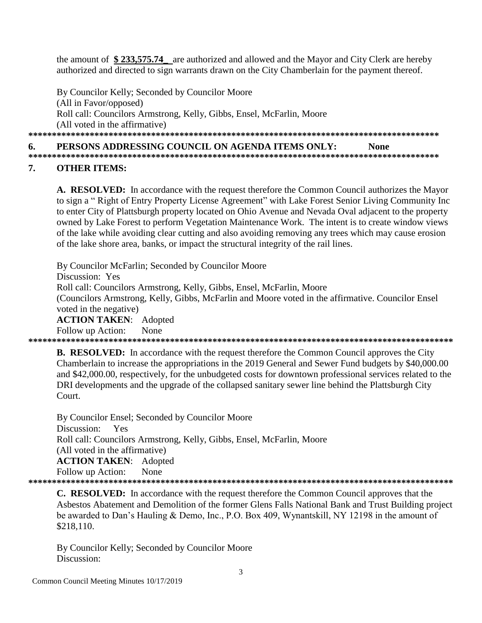the amount of \$233,575.74 are authorized and allowed and the Mayor and City Clerk are hereby authorized and directed to sign warrants drawn on the City Chamberlain for the payment thereof.

By Councilor Kelly: Seconded by Councilor Moore (All in Favor/opposed) Roll call: Councilors Armstrong, Kelly, Gibbs, Ensel, McFarlin, Moore (All voted in the affirmative) 

#### 6. PERSONS ADDRESSING COUNCIL ON AGENDA ITEMS ONLY: **None**

#### 7. **OTHER ITEMS:**

A. RESOLVED: In accordance with the request therefore the Common Council authorizes the Mayor to sign a "Right of Entry Property License Agreement" with Lake Forest Senior Living Community Inc to enter City of Plattsburgh property located on Ohio Avenue and Nevada Oval adjacent to the property owned by Lake Forest to perform Vegetation Maintenance Work. The intent is to create window views of the lake while avoiding clear cutting and also avoiding removing any trees which may cause erosion of the lake shore area, banks, or impact the structural integrity of the rail lines.

By Councilor McFarlin; Seconded by Councilor Moore Discussion: Yes Roll call: Councilors Armstrong, Kelly, Gibbs, Ensel, McFarlin, Moore (Councilors Armstrong, Kelly, Gibbs, McFarlin and Moore voted in the affirmative. Councilor Ensel voted in the negative) **ACTION TAKEN: Adopted** Follow up Action: None 

**B. RESOLVED:** In accordance with the request therefore the Common Council approves the City Chamberlain to increase the appropriations in the 2019 General and Sewer Fund budgets by \$40,000.00 and \$42,000.00, respectively, for the unbudgeted costs for downtown professional services related to the DRI developments and the upgrade of the collapsed sanitary sewer line behind the Plattsburgh City Court.

By Councilor Ensel; Seconded by Councilor Moore Discussion: Yes Roll call: Councilors Armstrong, Kelly, Gibbs, Ensel, McFarlin, Moore (All voted in the affirmative) **ACTION TAKEN:** Adopted None Follow up Action: 

**C. RESOLVED:** In accordance with the request therefore the Common Council approves that the Asbestos Abatement and Demolition of the former Glens Falls National Bank and Trust Building project be awarded to Dan's Hauling & Demo, Inc., P.O. Box 409, Wynantskill, NY 12198 in the amount of \$218,110.

By Councilor Kelly; Seconded by Councilor Moore Discussion: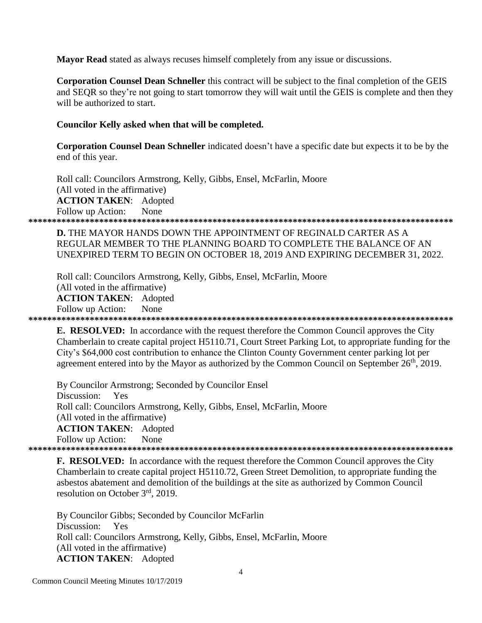**Mayor Read** stated as always recuses himself completely from any issue or discussions.

**Corporation Counsel Dean Schneller** this contract will be subject to the final completion of the GEIS and SEOR so they're not going to start tomorrow they will wait until the GEIS is complete and then they will be authorized to start.

### Councilor Kelly asked when that will be completed.

**Corporation Counsel Dean Schneller** indicated doesn't have a specific date but expects it to be by the end of this year.

Roll call: Councilors Armstrong, Kelly, Gibbs, Ensel, McFarlin, Moore (All voted in the affirmative) **ACTION TAKEN: Adopted** None Follow up Action: 

**D.** THE MAYOR HANDS DOWN THE APPOINTMENT OF REGINALD CARTER AS A REGULAR MEMBER TO THE PLANNING BOARD TO COMPLETE THE BALANCE OF AN UNEXPIRED TERM TO BEGIN ON OCTOBER 18, 2019 AND EXPIRING DECEMBER 31, 2022.

Roll call: Councilors Armstrong, Kelly, Gibbs, Ensel, McFarlin, Moore (All voted in the affirmative) **ACTION TAKEN: Adopted** Follow up Action: None 

**E. RESOLVED:** In accordance with the request therefore the Common Council approves the City Chamberlain to create capital project H5110.71, Court Street Parking Lot, to appropriate funding for the City's \$64,000 cost contribution to enhance the Clinton County Government center parking lot per agreement entered into by the Mayor as authorized by the Common Council on September 26<sup>th</sup>, 2019.

By Councilor Armstrong; Seconded by Councilor Ensel Discussion: Yes Roll call: Councilors Armstrong, Kelly, Gibbs, Ensel, McFarlin, Moore (All voted in the affirmative) **ACTION TAKEN:** Adopted Follow up Action: None 

**F. RESOLVED:** In accordance with the request therefore the Common Council approves the City Chamberlain to create capital project H5110.72, Green Street Demolition, to appropriate funding the asbestos abatement and demolition of the buildings at the site as authorized by Common Council resolution on October  $3<sup>rd</sup>$ , 2019.

By Councilor Gibbs; Seconded by Councilor McFarlin Discussion: Yes Roll call: Councilors Armstrong, Kelly, Gibbs, Ensel, McFarlin, Moore (All voted in the affirmative) **ACTION TAKEN:** Adopted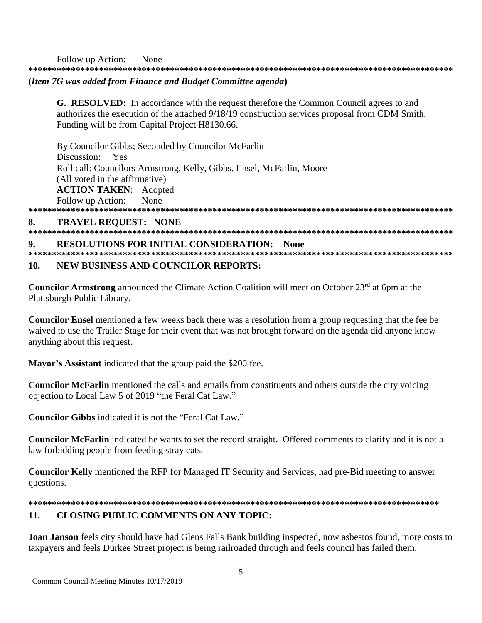None Follow up Action: 

## (Item 7G was added from Finance and Budget Committee agenda)

**G. RESOLVED:** In accordance with the request therefore the Common Council agrees to and authorizes the execution of the attached 9/18/19 construction services proposal from CDM Smith. Funding will be from Capital Project H8130.66.

By Councilor Gibbs; Seconded by Councilor McFarlin Discussion: Yes Roll call: Councilors Armstrong, Kelly, Gibbs, Ensel, McFarlin, Moore (All voted in the affirmative) **ACTION TAKEN:** Adopted Follow up Action: **None** 

#### **TRAVEL REQUEST: NONE** 8.

#### **RESOLUTIONS FOR INITIAL CONSIDERATION: None**  $\mathbf{o}$

#### $10.$ **NEW BUSINESS AND COUNCILOR REPORTS:**

**Councilor Armstrong** announced the Climate Action Coalition will meet on October 23<sup>rd</sup> at 6pm at the Plattsburgh Public Library.

**Councilor Ensel** mentioned a few weeks back there was a resolution from a group requesting that the fee be waived to use the Trailer Stage for their event that was not brought forward on the agenda did anyone know anything about this request.

Mayor's Assistant indicated that the group paid the \$200 fee.

**Councilor McFarlin** mentioned the calls and emails from constituents and others outside the city voicing objection to Local Law 5 of 2019 "the Feral Cat Law."

**Councilor Gibbs** indicated it is not the "Feral Cat Law."

Councilor McFarlin indicated he wants to set the record straight. Offered comments to clarify and it is not a law forbidding people from feeding stray cats.

**Councilor Kelly** mentioned the RFP for Managed IT Security and Services, had pre-Bid meeting to answer questions.

### 

#### 11. **CLOSING PUBLIC COMMENTS ON ANY TOPIC:**

**Joan Janson** feels city should have had Glens Falls Bank building inspected, now asbestos found, more costs to taxpayers and feels Durkee Street project is being railroaded through and feels council has failed them.